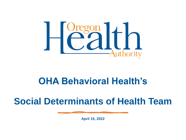

# **OHA Behavioral Health's**

# **Social Determinants of Health Team**

**April 15, 2022**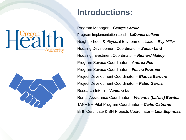# **Pregon**<br>Calt



## **Introductions:**

Program Manager – *George Carrillo* Program Implementation Lead – *LaDonna Lofland*  Neighborhood & Physical Environment Lead – *Ray Miller*  Housing Development Coordinator – *Susan Lind* Housing Investment Coordinator – *Richard Malloy*  Program Service Coordinator – *Andrea Poe*  Program Service Coordinator – *Felicia Fournier*  Project Development Coordinator – *Blanca Barocio* Project Development Coordinator – *Pablo Garcia* Research Intern – *Vanlena Le* Rental Assistance Coordinator – *Vivienne (LaNae) Bowles* TANF BH Pilot Program Coordinator – *Cailin Osborne* Birth Certificate & BH Projects Coordinator – *Lisa Espinosa*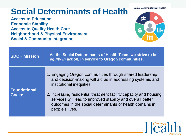# **Social Determinants of Health**

**Access to Education Economic Stability Access to Quality Health Care Neighborhood & Physical Environment Social & Community Integration**



| <b>SDOH Mission</b>                  | As the Social Determinants of Health Team, we strive to be<br>equity in action, in service to Oregon communities.                                                                                                                                                                                                                                                      |
|--------------------------------------|------------------------------------------------------------------------------------------------------------------------------------------------------------------------------------------------------------------------------------------------------------------------------------------------------------------------------------------------------------------------|
| <b>Foundational</b><br><b>Goals:</b> | 1. Engaging Oregon communities through shared leadership<br>and decision-making will aid us in addressing systemic and<br>institutional inequities.<br>2. Increasing residential treatment facility capacity and housing<br>services will lead to improved stability and overall better<br>outcomes in the social determinants of health domains in<br>people's lives. |

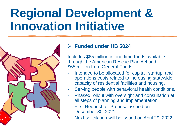# **Regional Development & Innovation Initiative**



#### ➢ **Funded under HB 5024**

Includes \$65 million in one-time funds available through the American Rescue Plan Act and \$65 million from General Funds.

- Intended to be allocated for capital, startup, and operations costs related to increasing statewide capacity of residential facilities and housing.
- Serving people with behavioral health conditions.
- Phased rollout with oversight and consultation at all steps of planning and implementation.
- **First Request for Proposal issued on** December 30, 2021
- Next solicitation will be issued on April 29, 2022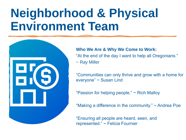# **Neighborhood & Physical Environment Team**



#### **Who We Are & Why We Come to Work:**

"At the end of the day I want to help all Oregonians." ~ Ray Miller

"Communities can only thrive and grow with a home for everyone" ~ Susan Lind

"Passion for helping people." ~ Rich Malloy

"Making a difference in the community."  $\sim$  Andrea Poe

"Ensuring all people are heard, seen, and represented." ~ Felicia Fournier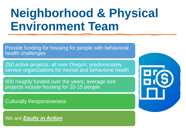# **Neighborhood & Physical Environment Team**

Provide funding for housing for people with behavioral health challenges

250 active projects, all over Oregon, predominately service organizations for mental and behavioral health

600 roughly funded over the years, average size projects include housing for 10-15 people

Culturally Responsiveness

We are *Equity in Action*

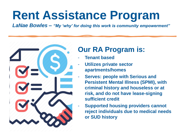# **Rent Assistance Program**

*LaNae Bowles – "My 'why' for doing this work is community empowerment"*



### **Our RA Program is:**

- **Tenant based**
- **Utilizes private sector apartments/homes**
- **Serves: people with Serious and Persistent Mental Illness (SPMI), with criminal history and houseless or at risk, and do not have lease-signing sufficient credit**
- **Supported housing providers cannot reject individuals due to medical needs or SUD history**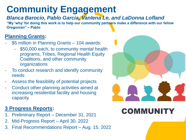# **Community Engagement**

*Blanca Barocio, Pablo Garcia, Vanlena Le, and LaDonna Lofland*

**"My 'why' for doing this work is to help our community partners make a difference with our fellow Oregonian" ~ Pablo**

#### **Planning Grants:**

- \$5 million in Planning Grants 104 awards:
	- \$50,000 each, to community mental health programs, Tribes, Regional Health Equity Coalitions, and other community organizations
- To conduct research and identify community needs
- Assess the feasibility of potential projects
- Conduct other planning activities aimed at increasing residential facility and housing capacity

#### **3 Progress Reports:**

- 1. Preliminary Report December 31, 2021
- 2. Mid-Progress Report April 30, 2022
- 3. Final Recommendations Report Aug. 15, 2022



## **COMMUNITY**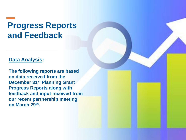# **Progress Reports and Feedback**

#### **Data Analysis:**

**The following reports are based on data received from the December 31st Planning Grant Progress Reports along with feedback and input received from our recent partnership meeting on March 29th.**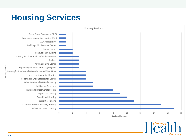# **Housing Services**



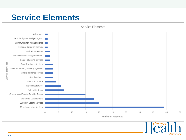## **Service Elements**



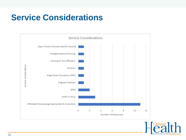# **Service Considerations**



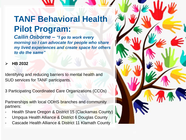# **TANF Behavioral Health Pilot Program:**

*Cailin Osborne – "I go to work every morning so I can advocate for people who share my lived experiences and create space for others to do the same"*

#### ➢ **HB 2032**

Identifying and reducing barriers to mental health and SUD services for TANF participants.

3 Participating Coordinated Care Organizations (CCOs)

Partnerships with local ODHS branches and community partners:

- Health Share Oregon & District 15 (Clackamas County)
- Umpqua Health Alliance & District 6 Douglas County
- Cascade Health Alliance & District 11 Klamath County